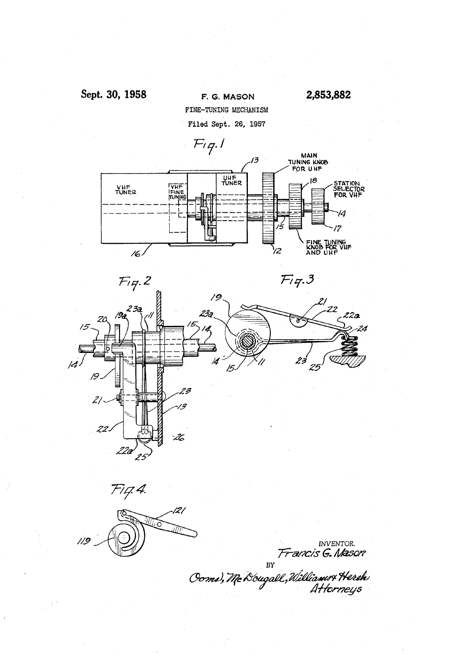





 $\blacksquare$  INVENTOR. Fr*ancis* G. Mason

BY<br>Coma, Mc Dougall, Williams Hersk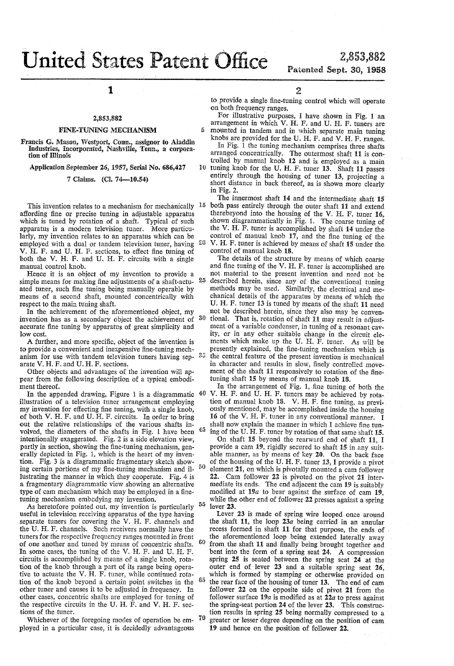$\boldsymbol{v}$ 

 $35$ 

2,853,832 Patented Sept. 30, 1958

1

# 2,853,882

### FINE-TWING MECHANISM

Francis G. Mason, Westport, Conn, assignor to Aladdin Industries, Incorporated, Nashville, Tenn, a corpora tion of Illinois

Application September 26, 1957, Serial No. 686,427

7 Claims. (Cl. 74-10.54)

This invention relates to a mechanism for mechanically  $15$ affording fine or precise tuning in adjustable apparatus which is tuned by rotation of a shaft. Typical of such apparatus is a modern television tuner. More particu larly, my invention relates to an apparatus which can be employed with a dual or tandem television tuner, having V. H. F. and U. H. F. sections, to effect fine tuning of both the V. H. F. and U. H. F. circuits with a single manual control knob.

Hence it is an object of my invention to provide a simple means for making fine adjustments of a shaft-actuated tuner, such fine tuning being manually operable by means of a second shaft, mounted concentrically with respect to the main tuning shaft.

In the achievement of the aforementioned object, my invention has as a secondary object the achievement of accurate fine tuning by apparatus of great simplicity and low cost. 30

A further, and more specific, object of the invention is to provide a convenient and inexpensive fine-tuning mechanism for use with tandem television tuners having sep arate V. H. F. and U. H. F. sections.

Other objects and advantages of the invention will ap pear from the following description of a typical embodi ment thereof.

In the appended drawing, Figure 1 is a diagrammatic <sup>40</sup> illustration of a television tuner arrangement employing my invention for effecting fine tuning, with a single knob, of both V. H. F. and U. H. F. circuits. In order to bring out the relative relationships of the various shafts in volved, the diameters of the shafts in Fig. l have been intentionally exaggerated. Fig. 2 is a side elevation view, partly in section, showing the fine-tuning mechanism, generally depicted in Fig. 1, which is the heart of my inven tion. Fig. 3 is a diagrammatic fragmentary sketch show ing certain portions of my fine-tuning mechanism and illustrating the manner in which they cooperate. Fig. 4 is a fragmentary diagrammatic view showing an alternative type of cam mechanism which may be employed in a finetuning mechanism embodying my invention.

As heretofore pointed out, my invention is particularly useful in television receiving apparatus of the type having separate tuners for covering the V. H. F. channels and the U. H. F. channels. Such receivers normally have the tuners for the respective frequency ranges mounted in front of one another and tuned by means of concentric shafts. In some cases, the tuning of the V. H. F. and U. H. F. circuits is accomplished by means of a single knob, rota tion of the knob through a part of its range being opera tive to actuate the V.  $\tilde{H}$ . F. tuner, while continued rotation of the knob beyond a certain point switches in the other tuner and causes it to be adjusted in frequency. In other cases, concentric shafts are employed for tuning of the respective circuits in the U. H.  $\tilde{F}$ . and V. H. F. sections of the tuner. 55  $60$ 

Whichever of the foregoing modes of operation be em ployed in a particular case, it is decidedly advantageous

2

to provide a single fine-tuning control which will operate on both frequency ranges.

For illustrative purposes, I have shown in Fig. 1 an arrangement in which V. H. F. and U. H. F. tuners are mounted in tandem and in which separate main tuning

10 tuning knob for the U. H. F. tuner 13. Shaft 11 passes knobs are provided for the U. H. F. and V. H. F. ranges. In Fig. 1 the tuning mechanism comprises three shafts arranged concentrically. The outermost shaft 11 is controlled by manual knob 12 and is employed as a main entirely through the housing of tuner 13, projecting a short distance in back thereof, as is shown more clearly in Fig. 2.

The innermost shaft 14 and the intermediate shaft 15 both pass entirely through the outer shaft 11 and extend therebeyond into the housing of the V. H. F. tuner 16, shown diagrammatically in Fig. l. The coarse tuning of the V. H. F. tuner is accomplished by shaft 14 under the control of manual knob  $17$ , and the fine tuning of the V. H. F. tuner is achieved by means of shaft 15 under the

control of manual knob 18.<br>The details of the structure by means of which coarse and fine tuning of the V. H. F. tuner is accomplished are not material to the present invention and need not be described herein, since any of'the conventional tuning methods may be used. Similarly, the electrical and me chanical details of the apparatus by means of which the U. H. F. tuner 13 is tuned by means of the shaft 11 need not be described herein, since they also may be conventional. That is, rotation of shaft 11 may result in adjustment of a variable condenser, in tuning of a resonant cav ity, or in any other suitable change in the circuit ele ments which make up the U. H. F. tuner. As will be presently explained, the fine-tuning mechanism which is the central feature of the present invention is mechanical<br>in character and results in slow, finely controlled movement of the shaft 11 responsively to rotation of the finetuning shaft 15 by means of manual knob 18.

In the arrangement of Fig. 1, fine tuning of both the V. H. F. and U. H. F. tuners may be achieved by rota tion of manual knob 18. V. H. F. fine tuning, as previously mentioned, may be accomplished inside the housing 16 of the V. H. F. tuner in any conventional manner. I shall now explain the manner in which I achieve fine tuning of the U. H. F. tuner by rotation of that same shaft 15.

On shaft 15 beyond the rearward end of shaft 11, I provide a cam 19, rigidly secured to shaft 15 in any suit able manner, as by means of key 20. On the back face of the housing of the U. H. F. tuner 13, I provide a pivot element 21, on which is pivotally mounted a cam follower 22. Cam follower 22 is pivoted on the pivot 21 inter mediate its ends. The end adjacent the cam 19 is suitably modified at  $19a$  to bear against the surface of cam 19, while the other end of follower 22 presses against a spring lever 23.

70 Lever 23 is made of spring wire looped once around the shaft 11, the loop  $23a$  being carried in an annular recess formed in shaft 11 for that purpose, the ends of the aforementioned loop being extended laterally away from the shaft 11 and finally being brought together and bent into the form of a spring seat 24. A compression spring 25 is seated between the spring seat 24 at the outer end of lever 23 and a suitable spring seat 26, which is formed by stamping or otherwise provided on the rear face of the housing of tuner 13. The end of cam follower 22 on the opposite side of pivot 21 from the follower surface 19 $a$  is modified as at 22 $a$  to press against the spring-seat portion 24 of the lever 23. This construc tion results in spring 25 being normally compressed to a greater or lesser degree depending on the position of cam 19 and hence on the position of follower 22.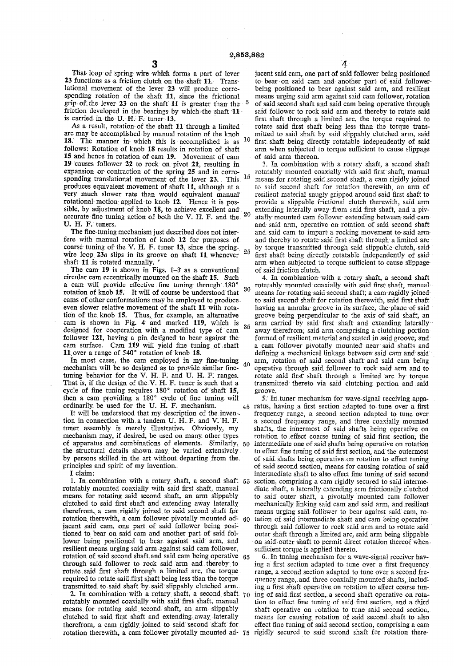That loop of spring wire which forms a part of lever 23 functions as a friction clutch on the'shaft 11. Trans lational movement of the lever 23 will produce corre sponding rotation of the shaft 11, since the frictional grip of the lever  $23$  on the shaft 11 is greater than the friction developed in the bearings by which the shaft  $11$ is carried in the U. H. F. tuner 13.

As a result, rotation of the shaft 11 through a limited arc may be accomplished by manual rotation of the knob 18. The manner in which this is accomplished is as  $10$ follows: Rotation of knob 18 results in rotation of shaft 15 and hence-in rotation of cam 19. Movement of cam 19 causes follower 22 to rock on pivot 21, resulting in expansion or contraction of the spring  $25$  and in corresponding translational movement of the lever  $23$ . This <sup>15</sup> produces equivalent movement of shaft 11, although at a very much slower rate than would equivalent manual rotational motion applied to knob 12. Hence it is possible, by adjustment of knob 18, to achieve excellent and. accurate fine tuning action of both the V. H. F. and the  $^{20}$ U. H. F. tuners.

The fine-tuning mechanism just described does not interfere with manual rotation of knob 12 for purposes of.<br>coarse tuning of the V. H. F. tuner 13, since the spring-<br>with the negative in the springwire loop  $23a$  slips in its groove on shaft 11. whenever shaft 11 is rotated manually.

The cam 19 is shown in Figs. 1-3 as a conventional circular cam eccentrically mounted on the shaft 15. Such a cam will provide effective fine tuning through 180°  $30$ rotation of knob 15.' It will of course be understood' that cams of other conformations may be employed to produce. even slower relative movement of the shaft 11 with rotation of the knob 15. Thus, for example, an alternative cam is shown in Fig. 4 and marked 119, which is designed for cooperation with a modified type of cam follower 121, having a pin designed to bear against the cam surface. Cam  $119$  will yield fine tuning of shaft 11 over a range of 540° rotation of knob 18.

In most cases, the cam employed in my fine-tuning mechanism will be so designed as to provide similar finetuning behavior for the V. H. F. and U. H. F. ranges. That is, if the design of the V. H. F. tuner is such that a cycle of fine tuning requires 180° rotation of shaft 15, then a cam providing  $a$  180 $^{\circ}$  cycle of fine tuning will ordinarily. be used for the U. H. F. mechanism. 40 45

It will be understood that my description of the invention in connection with a tandem U. H. F. and V. H. F. tuner assembly is merely illustrative. Obviously, my mechanism may, if desired, be used on many other types of apparatus and combinations of elements. Similarly, 50 the structural details shown. may be varied extensively. by persons skilled in the art without departing from the. principles and spirit of my invention.

I claim:

1. In combination with a rotary shaft, a second shaft  $55$ rotatably mounted coaxially with said first shaft, manual means for rotating said second shaft, an arm slippably clutched to said first shaft and extending away laterally therefrom, a cam rigidly joined to said second shaft for rotation therewith, a cam follower pivotally mounted ad- $60$ jacent said cam, one part of said follower being positioned to bear on said cam and another part of said follower being positioned to bear against said arm, and resilient means urging said arm-against said cam follower, rotation of said second shaft and said cam being operative  $65$ through said follower to rock said arm and thereby to rotate said first shaft through a limited arc, the torque required to rotate said first shaft being less than the torque transmitted to said shaft by said slippably clutched arm.

transmitted to said shaft by-said slippably clutched arm.<br>2. In combination with a rotary shaft, a second shaft.  $70$ rotatably mounted coaxially with said first shaft, manual means for rotating said second-shaft, an arm. slippably clutched to said first shaft and extending away laterally therefrom, a cam rigidly joined to said second shaft for therefrom, a cam rigidly joined to said second shaft for effect fine tuning of said second section, comprising a cam<br>rotation therewith, a cam follower pivotally mounted ad- 75 rigidly secured to said second shaft for rota

jacent said cam, one part of said follower being positioned to bear-on said cam and another part of said follower-<br>being positioned to bear against said arm, and resilient means urging said arm against said cam follower, rotation of said second shaft and said cam being operative through said follower to rock said arm and thereby to rotate said first shaft through a limited arc, the torque required to rotate said first shaft being less than the torque transmitted to said shaft by said slippably clutched arm, said first shaft being directly rotatable independently of said arm when subjected to torque sufficient to cause slippage of said arm thereon.

3. In combination with a rotary shaft, a second shaft rotatably mounted coaxially with said first shaft, manual means for rotating said second shaft, a cam rigidly joined to said second shaft for rotation therewith, an arm of resilient material snugly gripped around said first shaft to provide a slippable frictional clutch therewith, said arm extending laterally away from said first shaft, and a pivatally mounted cam follower extending between said cam and said arm, operative on rotation of said second shaft and said cam to impart a rocking movement to said armand thereby to rotate said first shaft through a limited are by torque transmitted' through said slippable'clutch, said first shaft being directly rotatable independently of said arm when subjected to torque sufficient to cause slippageof said friction clutch.

35 4. In combination with a rotary shaft, a second shaft rotatably mounted coaxially with said first shaft, manual means for rotating said second shaft, a cam ragidly joined to said second shaft for rotation therewith, said first shaft having an annular groove in its surface, the plane of said groove being perpendicular to the axis of said shaft, an arm carried by said first shaft and extending laterally away therefrom; said arm comprising a clutching portion formed of resilient material and seated in said groove; and a cam follower pivotally mounted near'said shafts and defining a mechanical linkage between said cam and said arm, rotation of said second shaft and said cam being operative through said. follower to rock said arm and to rotate said first shaft through a limited arc by torque transmitted thereto via said clutching portion and .said groove.

5. In tuner mechanism for wave-signal receiving apparatus, having a first section adapted to tune over a first frequency range, a second. section adapted to tune over a second frequency range, and three coaxially mounted shafts, the innermost of said shafts being operative on rotation to effect coarse tuning of said first section, the intermediate one of'said shafts being operative on rotation to effect fine tuning of said first section, and the outermost of said shafts being operative on rotation to effect tuning of said second section, means for causing rotation of said intermediate shaft to also effect fine tuning of said second section, comprising a cam rigidly secured to said interme diate shaft, a laterally extending arm frictionally clutched to said outer shaft, a pivotally mounted cam follower mechanically linking said cam and' said arm, and resilient means urging said-follower to bear against said'cam,.ro tation of said intermediate shaft and cam being operative through said follower to rock said arm and to rotate said outer shaft through a limited are, said arm being slippable on said'outer shaft to permit direct rotation thereof when. sufficient torque is applied thereto.

6. In tuning mechanism for a wave~signal receiver hav ing a first section adapted to tune over a first frequency range, a.second section adapted to tune over a second fre quency range, and three coaxially mounted shafts, including a first shaft operative on rotation to effect coarse tuning of said first section, a second shaft operative on rotation to effect fine tuning of said first section, and a third shaft operative on rotation to tune said second section, means for causing rotation of said second-shaft to also effect fine tuning of said second section, comprising a cam